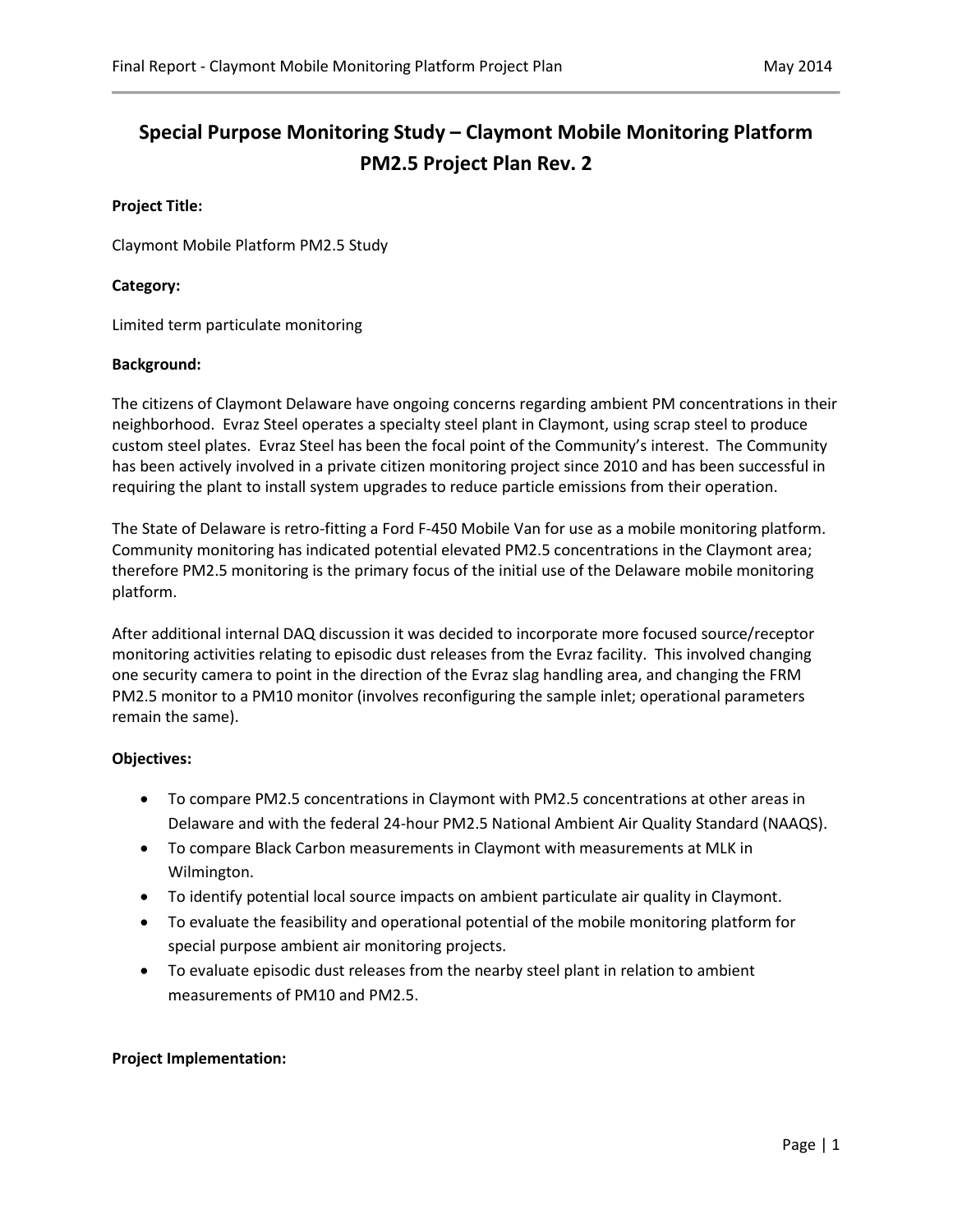# **Special Purpose Monitoring Study – Claymont Mobile Monitoring Platform PM2.5 Project Plan Rev. 2**

### **Project Title:**

Claymont Mobile Platform PM2.5 Study

# **Category:**

Limited term particulate monitoring

# **Background:**

The citizens of Claymont Delaware have ongoing concerns regarding ambient PM concentrations in their neighborhood. Evraz Steel operates a specialty steel plant in Claymont, using scrap steel to produce custom steel plates. Evraz Steel has been the focal point of the Community's interest. The Community has been actively involved in a private citizen monitoring project since 2010 and has been successful in requiring the plant to install system upgrades to reduce particle emissions from their operation.

The State of Delaware is retro-fitting a Ford F-450 Mobile Van for use as a mobile monitoring platform. Community monitoring has indicated potential elevated PM2.5 concentrations in the Claymont area; therefore PM2.5 monitoring is the primary focus of the initial use of the Delaware mobile monitoring platform.

After additional internal DAQ discussion it was decided to incorporate more focused source/receptor monitoring activities relating to episodic dust releases from the Evraz facility. This involved changing one security camera to point in the direction of the Evraz slag handling area, and changing the FRM PM2.5 monitor to a PM10 monitor (involves reconfiguring the sample inlet; operational parameters remain the same).

#### **Objectives:**

- To compare PM2.5 concentrations in Claymont with PM2.5 concentrations at other areas in Delaware and with the federal 24-hour PM2.5 National Ambient Air Quality Standard (NAAQS).
- To compare Black Carbon measurements in Claymont with measurements at MLK in Wilmington.
- To identify potential local source impacts on ambient particulate air quality in Claymont.
- To evaluate the feasibility and operational potential of the mobile monitoring platform for special purpose ambient air monitoring projects.
- To evaluate episodic dust releases from the nearby steel plant in relation to ambient measurements of PM10 and PM2.5.

#### **Project Implementation:**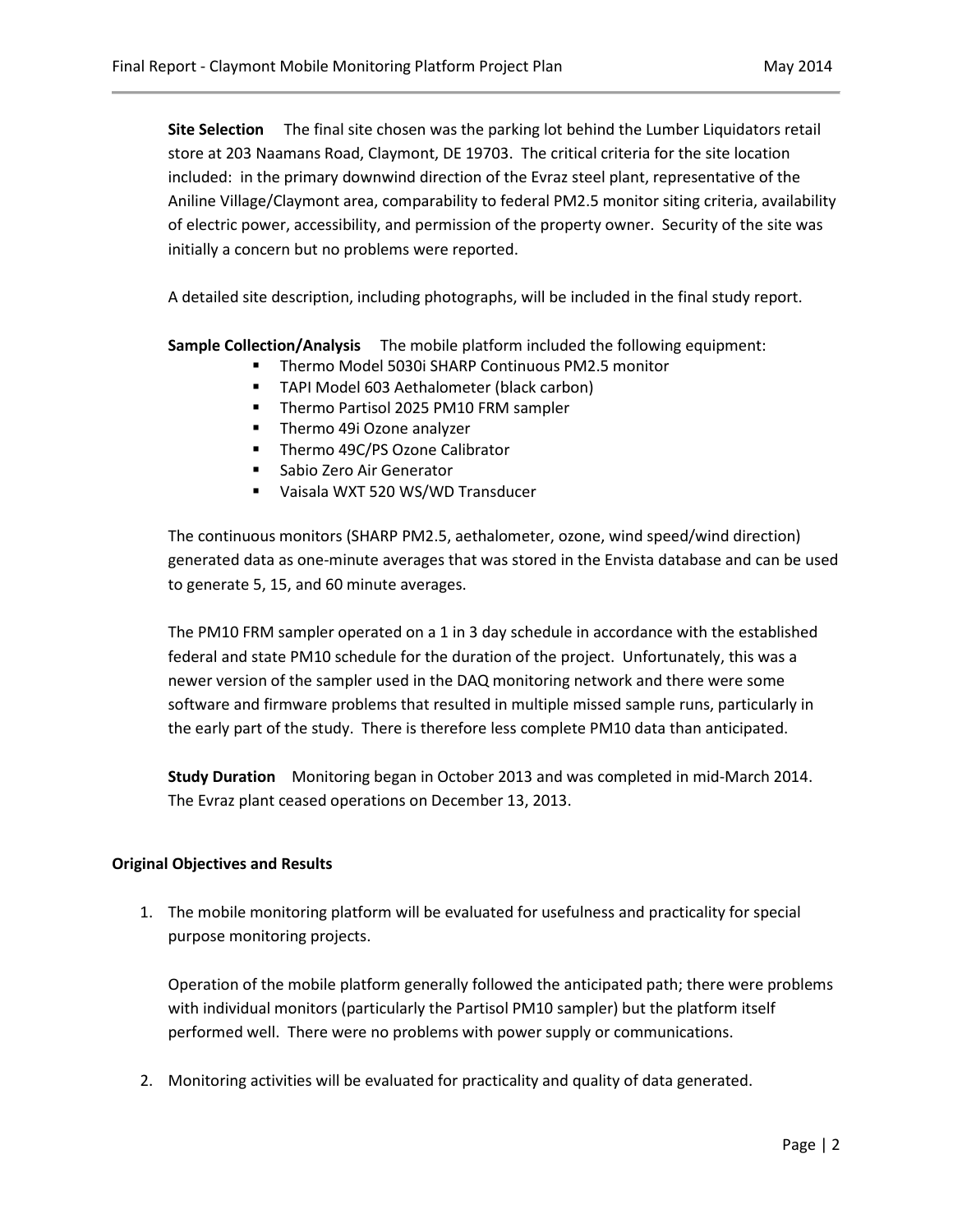**Site Selection** The final site chosen was the parking lot behind the Lumber Liquidators retail store at 203 Naamans Road, Claymont, DE 19703. The critical criteria for the site location included: in the primary downwind direction of the Evraz steel plant, representative of the Aniline Village/Claymont area, comparability to federal PM2.5 monitor siting criteria, availability of electric power, accessibility, and permission of the property owner. Security of the site was initially a concern but no problems were reported.

A detailed site description, including photographs, will be included in the final study report.

**Sample Collection/Analysis** The mobile platform included the following equipment:

- Thermo Model 5030i SHARP Continuous PM2.5 monitor
- **TAPI Model 603 Aethalometer (black carbon)**
- **Thermo Partisol 2025 PM10 FRM sampler**
- **Thermo 49i Ozone analyzer**
- **Thermo 49C/PS Ozone Calibrator**
- **Sabio Zero Air Generator**
- Vaisala WXT 520 WS/WD Transducer

The continuous monitors (SHARP PM2.5, aethalometer, ozone, wind speed/wind direction) generated data as one-minute averages that was stored in the Envista database and can be used to generate 5, 15, and 60 minute averages.

The PM10 FRM sampler operated on a 1 in 3 day schedule in accordance with the established federal and state PM10 schedule for the duration of the project. Unfortunately, this was a newer version of the sampler used in the DAQ monitoring network and there were some software and firmware problems that resulted in multiple missed sample runs, particularly in the early part of the study. There is therefore less complete PM10 data than anticipated.

**Study Duration** Monitoring began in October 2013 and was completed in mid-March 2014. The Evraz plant ceased operations on December 13, 2013.

#### **Original Objectives and Results**

1. The mobile monitoring platform will be evaluated for usefulness and practicality for special purpose monitoring projects.

Operation of the mobile platform generally followed the anticipated path; there were problems with individual monitors (particularly the Partisol PM10 sampler) but the platform itself performed well. There were no problems with power supply or communications.

2. Monitoring activities will be evaluated for practicality and quality of data generated.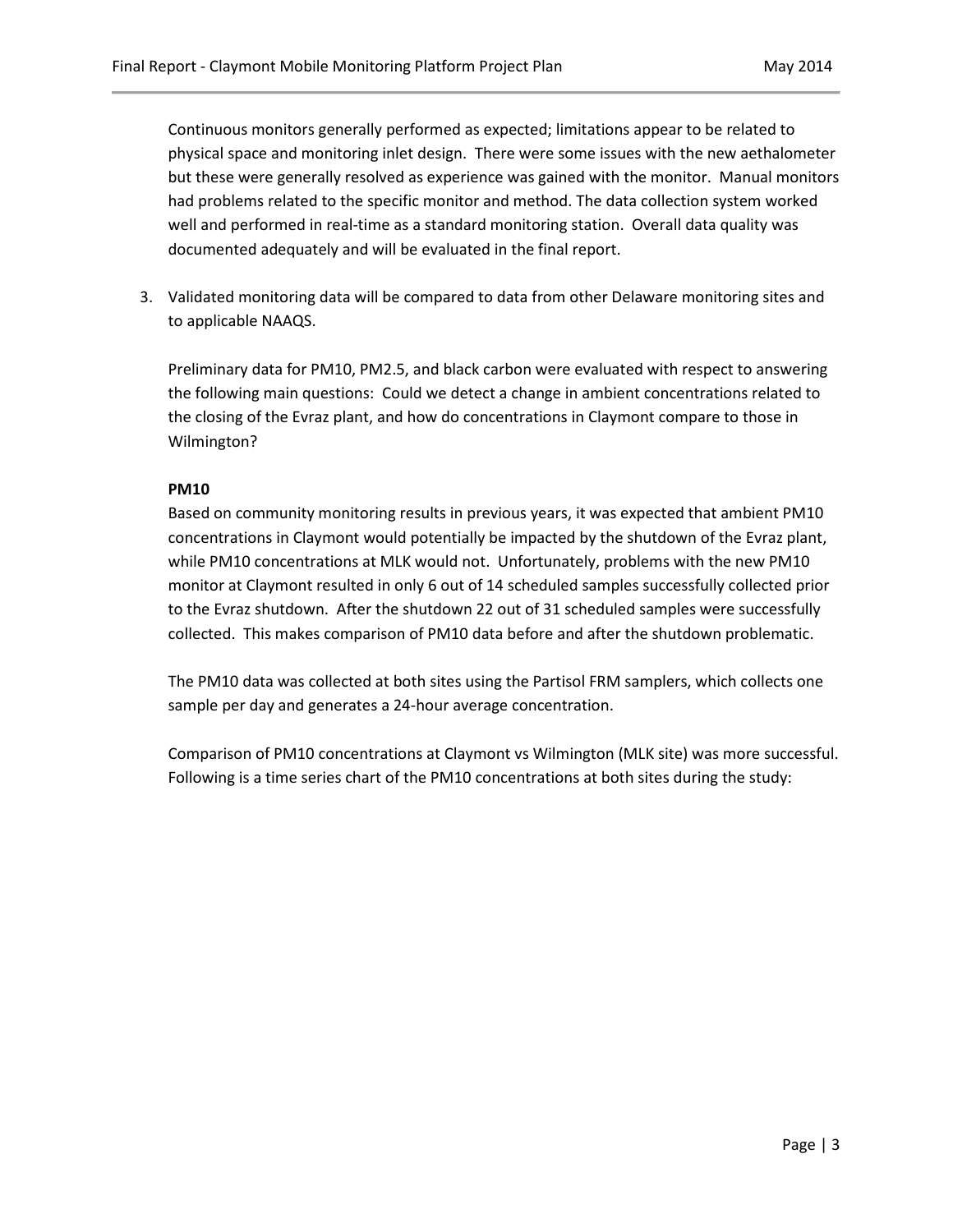Continuous monitors generally performed as expected; limitations appear to be related to physical space and monitoring inlet design. There were some issues with the new aethalometer but these were generally resolved as experience was gained with the monitor. Manual monitors had problems related to the specific monitor and method. The data collection system worked well and performed in real-time as a standard monitoring station. Overall data quality was documented adequately and will be evaluated in the final report.

3. Validated monitoring data will be compared to data from other Delaware monitoring sites and to applicable NAAQS.

Preliminary data for PM10, PM2.5, and black carbon were evaluated with respect to answering the following main questions: Could we detect a change in ambient concentrations related to the closing of the Evraz plant, and how do concentrations in Claymont compare to those in Wilmington?

# **PM10**

Based on community monitoring results in previous years, it was expected that ambient PM10 concentrations in Claymont would potentially be impacted by the shutdown of the Evraz plant, while PM10 concentrations at MLK would not. Unfortunately, problems with the new PM10 monitor at Claymont resulted in only 6 out of 14 scheduled samples successfully collected prior to the Evraz shutdown. After the shutdown 22 out of 31 scheduled samples were successfully collected. This makes comparison of PM10 data before and after the shutdown problematic.

The PM10 data was collected at both sites using the Partisol FRM samplers, which collects one sample per day and generates a 24-hour average concentration.

Comparison of PM10 concentrations at Claymont vs Wilmington (MLK site) was more successful. Following is a time series chart of the PM10 concentrations at both sites during the study: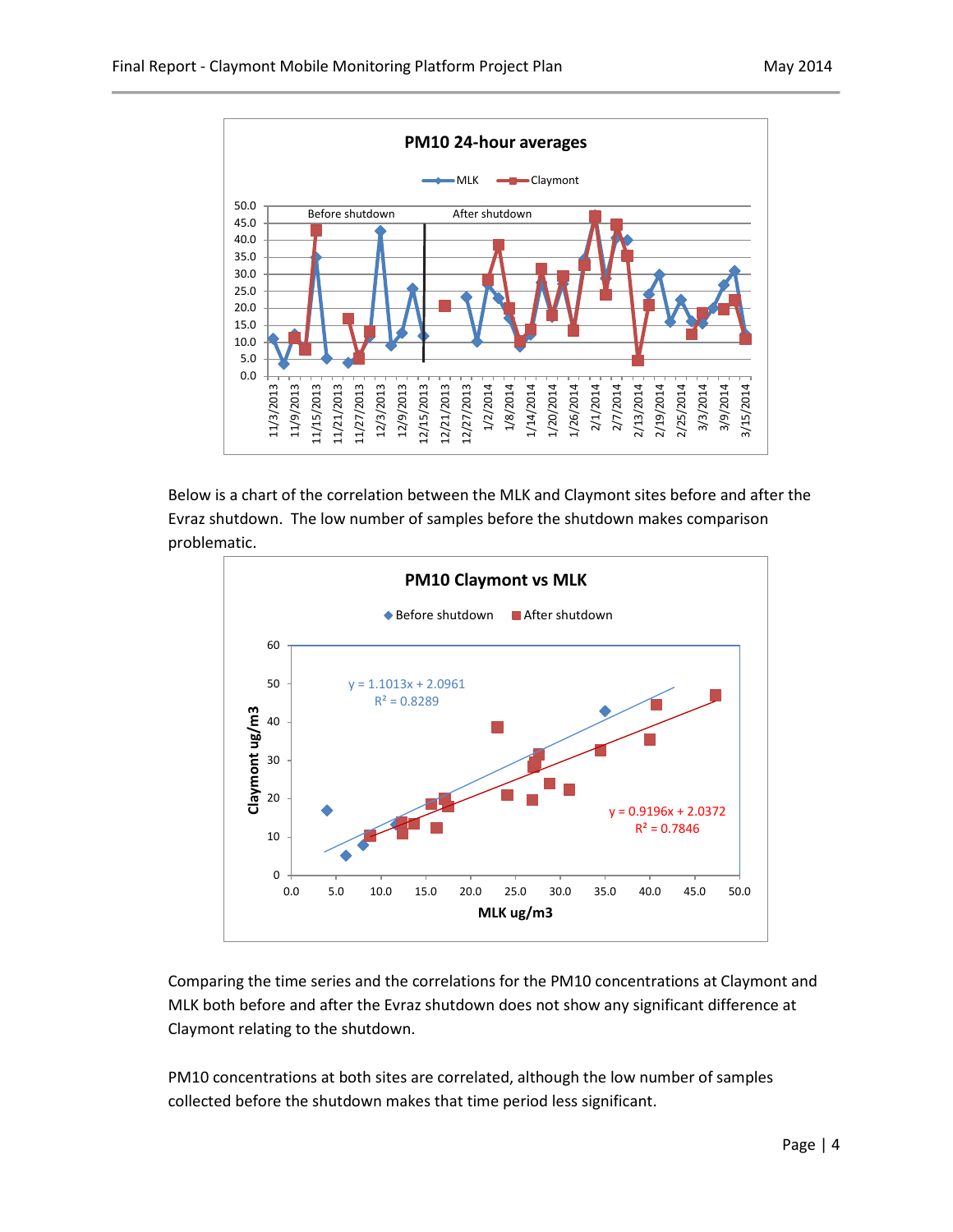

Below is a chart of the correlation between the MLK and Claymont sites before and after the Evraz shutdown. The low number of samples before the shutdown makes comparison problematic.



Comparing the time series and the correlations for the PM10 concentrations at Claymont and MLK both before and after the Evraz shutdown does not show any significant difference at Claymont relating to the shutdown.

PM10 concentrations at both sites are correlated, although the low number of samples collected before the shutdown makes that time period less significant.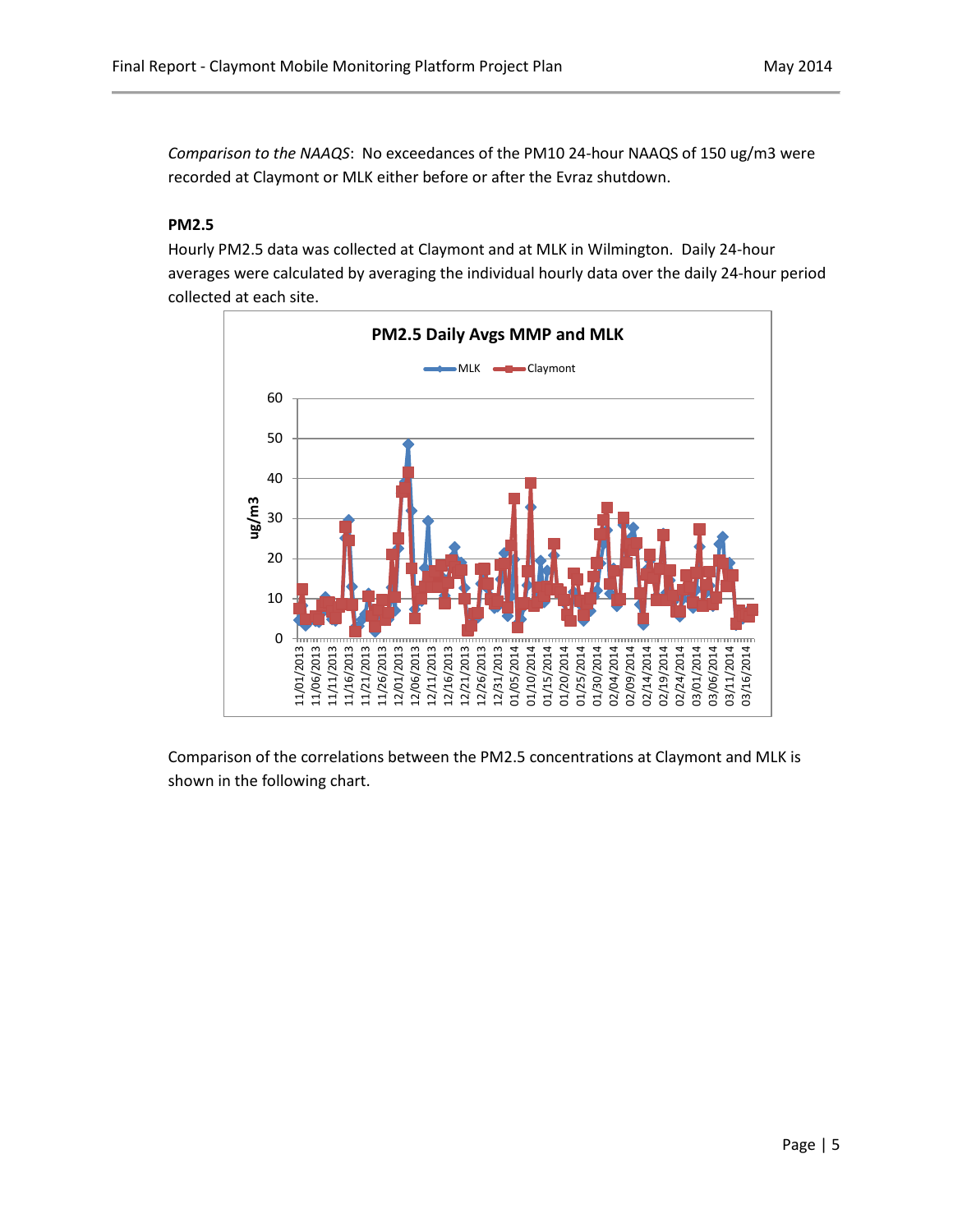*Comparison to the NAAQS*: No exceedances of the PM10 24-hour NAAQS of 150 ug/m3 were recorded at Claymont or MLK either before or after the Evraz shutdown.

# **PM2.5**

Hourly PM2.5 data was collected at Claymont and at MLK in Wilmington. Daily 24-hour averages were calculated by averaging the individual hourly data over the daily 24-hour period collected at each site.



Comparison of the correlations between the PM2.5 concentrations at Claymont and MLK is shown in the following chart.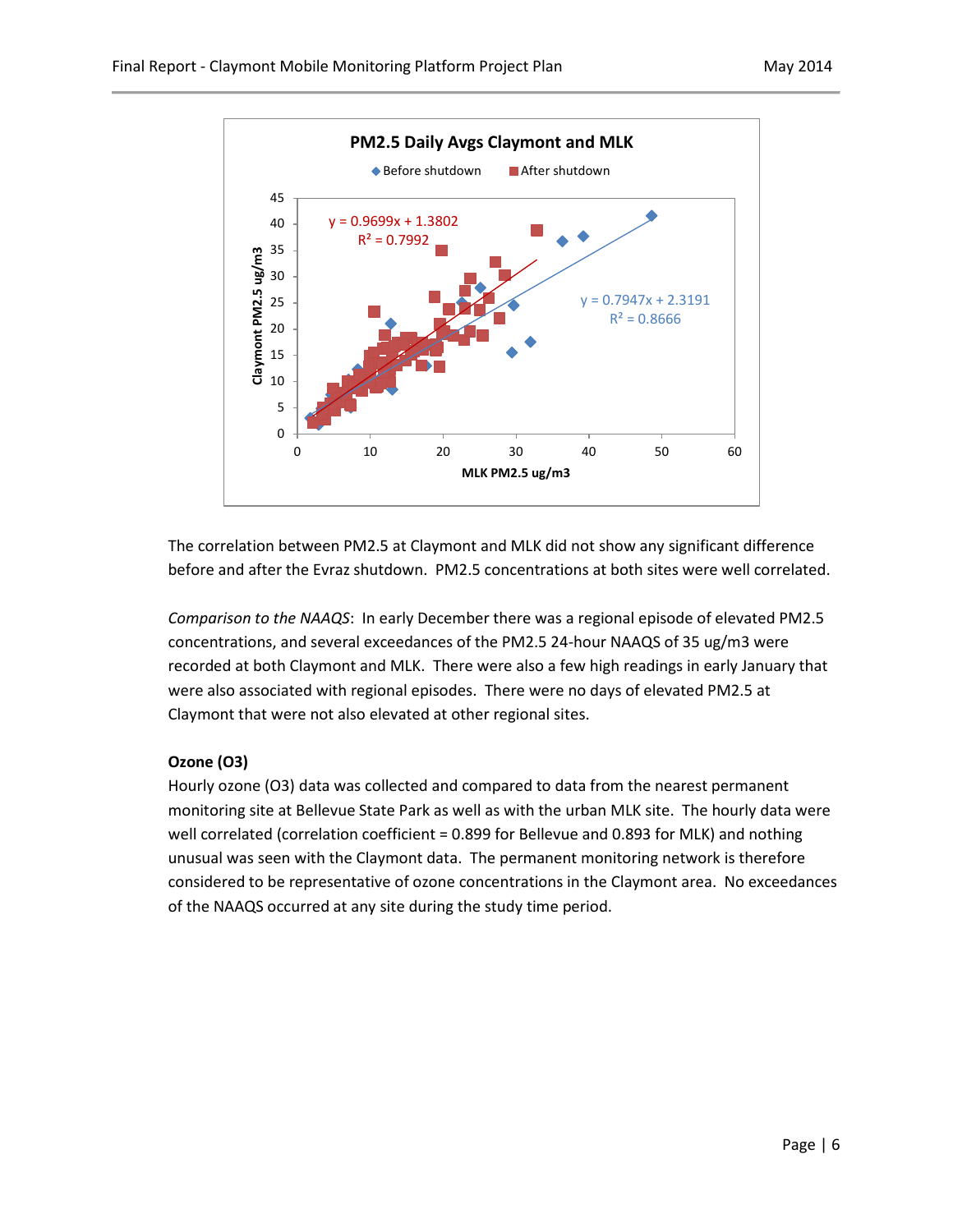

The correlation between PM2.5 at Claymont and MLK did not show any significant difference before and after the Evraz shutdown. PM2.5 concentrations at both sites were well correlated.

*Comparison to the NAAQS*: In early December there was a regional episode of elevated PM2.5 concentrations, and several exceedances of the PM2.5 24-hour NAAQS of 35 ug/m3 were recorded at both Claymont and MLK. There were also a few high readings in early January that were also associated with regional episodes. There were no days of elevated PM2.5 at Claymont that were not also elevated at other regional sites.

# **Ozone (O3)**

Hourly ozone (O3) data was collected and compared to data from the nearest permanent monitoring site at Bellevue State Park as well as with the urban MLK site. The hourly data were well correlated (correlation coefficient = 0.899 for Bellevue and 0.893 for MLK) and nothing unusual was seen with the Claymont data. The permanent monitoring network is therefore considered to be representative of ozone concentrations in the Claymont area. No exceedances of the NAAQS occurred at any site during the study time period.